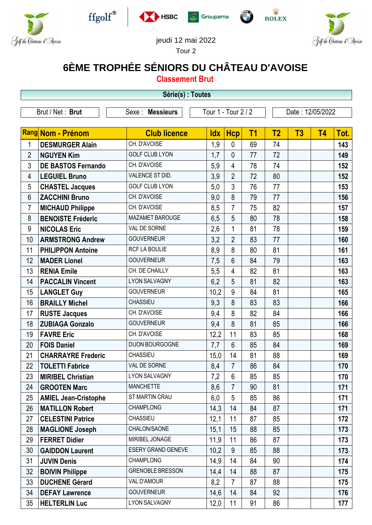











## jeudi 12 mai 2022

Tour 2

## **6ÈME TROPHÉE SÉNIORS DU CHÂTEAU D'AVOISE**

**Classement Brut**

| Série(s) : Toutes |                                                             |                           |            |                |                  |                |    |           |      |  |
|-------------------|-------------------------------------------------------------|---------------------------|------------|----------------|------------------|----------------|----|-----------|------|--|
|                   | Tour 1 - Tour 2 / 2<br>Brut / Net: Brut<br>Sexe : Messieurs |                           |            |                | Date: 12/05/2022 |                |    |           |      |  |
|                   |                                                             |                           |            |                |                  |                |    |           |      |  |
|                   | Rang Nom - Prénom                                           | <b>Club licence</b>       | <b>Idx</b> | <b>Hcp</b>     | <b>T1</b>        | T <sub>2</sub> | T3 | <b>T4</b> | Tot. |  |
| 1                 | <b>DESMURGER Alain</b>                                      | CH. D'AVOISE              | 1,9        | 0              | 69               | 74             |    |           | 143  |  |
| $\overline{2}$    | <b>NGUYEN Kim</b>                                           | <b>GOLF CLUB LYON</b>     | 1,7        | $\mathbf{0}$   | 77               | 72             |    |           | 149  |  |
| 3                 | <b>DE BASTOS Fernando</b>                                   | CH. D'AVOISE              | 5,9        | 4              | 78               | 74             |    |           | 152  |  |
| 4                 | <b>LEGUIEL Bruno</b>                                        | VALENCE ST DID.           | 3,9        | $\overline{2}$ | 72               | 80             |    |           | 152  |  |
| 5                 | <b>CHASTEL Jacques</b>                                      | <b>GOLF CLUB LYON</b>     | 5,0        | 3              | 76               | 77             |    |           | 153  |  |
| $6\,$             | <b>ZACCHINI Bruno</b>                                       | CH. D'AVOISE              | 9,0        | 8              | 79               | 77             |    |           | 156  |  |
| $\overline{7}$    | <b>MICHAUD Philippe</b>                                     | CH. D'AVOISE              | 8,5        | $\overline{7}$ | 75               | 82             |    |           | 157  |  |
| 8                 | <b>BENOISTE Fréderic</b>                                    | MAZAMET BAROUGE           | 6,5        | 5              | 80               | 78             |    |           | 158  |  |
| 9                 | <b>NICOLAS Eric</b>                                         | VAL DE SORNE              | 2,6        | $\mathbf 1$    | 81               | 78             |    |           | 159  |  |
| 10                | <b>ARMSTRONG Andrew</b>                                     | <b>GOUVERNEUR</b>         | 3,2        | $\overline{2}$ | 83               | 77             |    |           | 160  |  |
| 11                | <b>PHILIPPON Antoine</b>                                    | RCF LA BOULIE             | 8,9        | 8              | 80               | 81             |    |           | 161  |  |
| 12                | <b>MADER Lionel</b>                                         | <b>GOUVERNEUR</b>         | 7,5        | 6              | 84               | 79             |    |           | 163  |  |
| 13                | <b>RENIA Emile</b>                                          | CH. DE CHAILLY            | 5,5        | $\overline{4}$ | 82               | 81             |    |           | 163  |  |
| 14                | <b>PACCALIN Vincent</b>                                     | <b>LYON SALVAGNY</b>      | 6,2        | 5              | 81               | 82             |    |           | 163  |  |
| 15                | <b>LANGLET Guy</b>                                          | <b>GOUVERNEUR</b>         | 10,2       | 9              | 84               | 81             |    |           | 165  |  |
| 16                | <b>BRAILLY Michel</b>                                       | <b>CHASSIEU</b>           | 9,3        | 8              | 83               | 83             |    |           | 166  |  |
| 17                | <b>RUSTE Jacques</b>                                        | CH. D'AVOISE              | 9,4        | 8              | 82               | 84             |    |           | 166  |  |
| 18                | <b>ZUBIAGA Gonzalo</b>                                      | <b>GOUVERNEUR</b>         | 9,4        | 8              | 81               | 85             |    |           | 166  |  |
| 19                | <b>FAVRE Eric</b>                                           | CH. D'AVOISE              | 12,2       | 11             | 83               | 85             |    |           | 168  |  |
| 20                | <b>FOIS Daniel</b>                                          | <b>DIJON BOURGOGNE</b>    | 7,7        | $6\phantom{1}$ | 85               | 84             |    |           | 169  |  |
| 21                | <b>CHARRAYRE Frederic</b>                                   | CHASSIEU                  | 15,0       | 14             | 81               | 88             |    |           | 169  |  |
| 22                | <b>TOLETTI Fabrice</b>                                      | VAL DE SORNE              | 8,4        | $\overline{7}$ | 86               | 84             |    |           | 170  |  |
| 23                | <b>MIRIBEL Christian</b>                                    | LYON SALVAGNY             | 7,2        | 6              | 85               | 85             |    |           | 170  |  |
| 24                | <b>GROOTEN Marc</b>                                         | <b>MANCHETTE</b>          | 8,6        | $\overline{7}$ | 90               | 81             |    |           | 171  |  |
| 25                | <b>AMIEL Jean-Cristophe</b>                                 | ST MARTIN CRAU            | 6,0        | 5              | 85               | 86             |    |           | 171  |  |
| 26                | <b>MATILLON Robert</b>                                      | <b>CHAMPLONG</b>          | 14,3       | 14             | 84               | 87             |    |           | 171  |  |
| 27                | <b>CELESTINI Patrice</b>                                    | CHASSIEU                  | 12,1       | 11             | 87               | 85             |    |           | 172  |  |
| 28                | <b>MAGLIONE Joseph</b>                                      | CHALON/SAONE              | 15,1       | 15             | 88               | 85             |    |           | 173  |  |
| 29                | <b>FERRET Didier</b>                                        | MIRIBEL JONAGE            | 11,9       | 11             | 86               | 87             |    |           | 173  |  |
| 30                | <b>GAIDDON Laurent</b>                                      | <b>ESERY GRAND GENEVE</b> | 10,2       | 9              | 85               | 88             |    |           | 173  |  |
| 31                | <b>JUVIN Denis</b>                                          | <b>CHAMPLONG</b>          | 14,9       | 14             | 84               | 90             |    |           | 174  |  |
| 32                | <b>BOIVIN Philippe</b>                                      | <b>GRENOBLE BRESSON</b>   | 14,4       | 14             | 88               | 87             |    |           | 175  |  |
| 33                | <b>DUCHENE Gérard</b>                                       | VAL D'AMOUR               | 8,2        | $\overline{7}$ | 87               | 88             |    |           | 175  |  |
| 34                | <b>DEFAY Lawrence</b>                                       | <b>GOUVERNEUR</b>         | 14,6       | 14             | 84               | 92             |    |           | 176  |  |
| 35                | <b>HELTERLIN Luc</b>                                        | LYON SALVAGNY             | 12,0       | 11             | 91               | 86             |    |           | 177  |  |